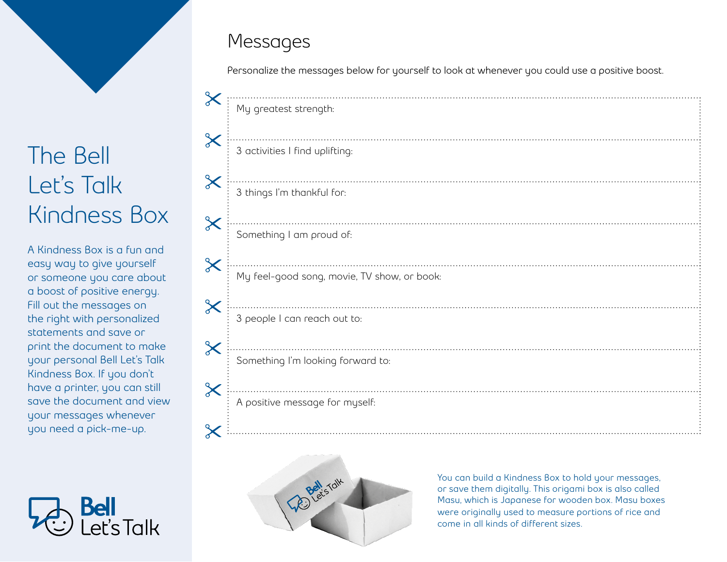

**A Kindness Box is a fun and easy way to give yourself or someone you care about a boost of positive energy. Fill out the messages on the right with personalized statements and save or print the document to make your personal Bell Let's Talk Kindness Box. If you don't have a printer, you can still save the document and view your messages whenever you need a pick-me-up.**



## Messages

**Personalize the messages below for yourself to look at whenever you could use a positive boost.**

|                                                  | My greatest strength:                       |  |
|--------------------------------------------------|---------------------------------------------|--|
| $\pmb{\times}$                                   |                                             |  |
|                                                  | 3 activities I find uplifting:              |  |
| $\pmb{\times}$                                   |                                             |  |
|                                                  | 3 things I'm thankful for:                  |  |
| $\pmb{\times}$                                   | Something I am proud of:                    |  |
| $\boldsymbol{\times}$<br>$\overline{\mathsf{X}}$ | My feel-good song, movie, TV show, or book: |  |
| $\pmb{\times}$                                   | 3 people I can reach out to:                |  |
|                                                  | Something I'm looking forward to:           |  |
| $\pmb{\times}$                                   | A positive message for myself:              |  |
|                                                  |                                             |  |



**You can build a Kindness Box to hold your messages, or save them digitally. This origami box is also called Masu, which is Japanese for wooden box. Masu boxes were originally used to measure portions of rice and come in all kinds of different sizes.**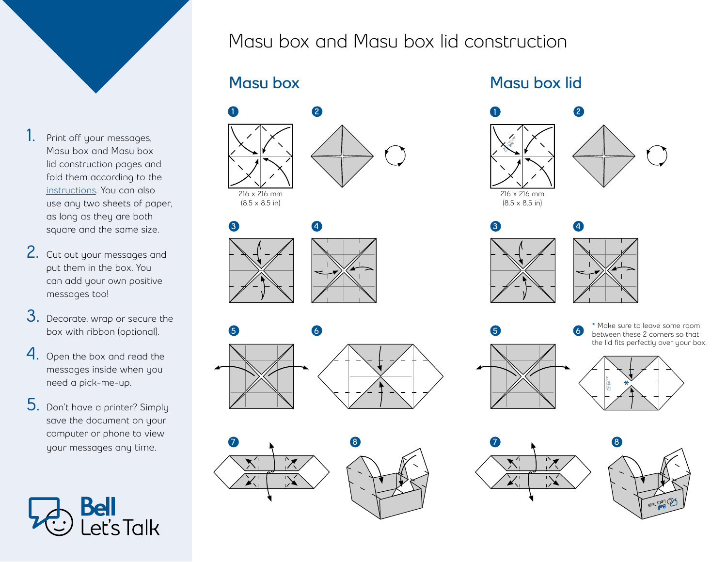

- **1.** Print off your messages, Masu box and Masu box lid construction pages and fold them according to the [instructions.](https://www.youtube.com/watch?v=miKVWRH6Jzc) You can also use any two sheets of paper, as long as they are both square and the same size.
- **2.** Cut out your messages and put them in the box. You can add your own positive messages too!
- **3.** Decorate, wrap or secure the box with ribbon (optional).
- **4.** Open the box and read the messages inside when you need a pick-me-up.
- **5.** Don't have a printer? Simply save the document on your computer or phone to view your messages any time.



Masu box and Masu box lid construction









### Masu box Masu box lid





5



6

\* Make sure to leave some room between these 2 corners so that the lid fits perfectly over your box.



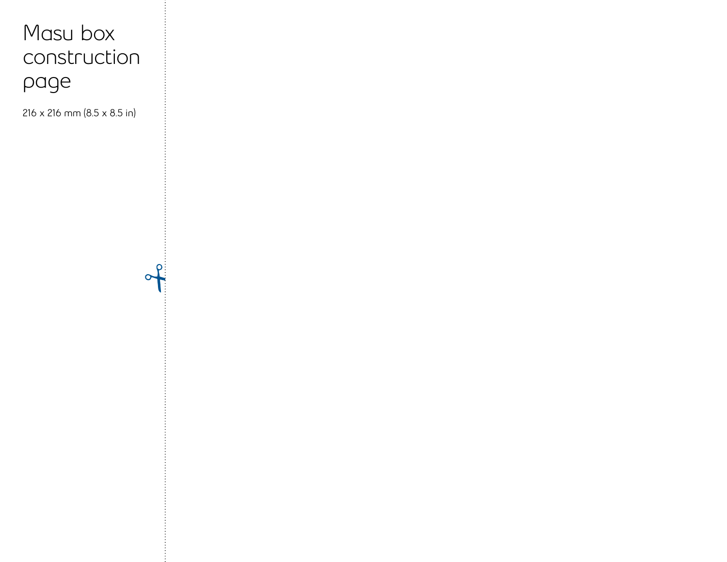# Masu box construction page

**216 x 216 mm (8.5 x 8.5 in)**

 $\Omega$  $\sigma$